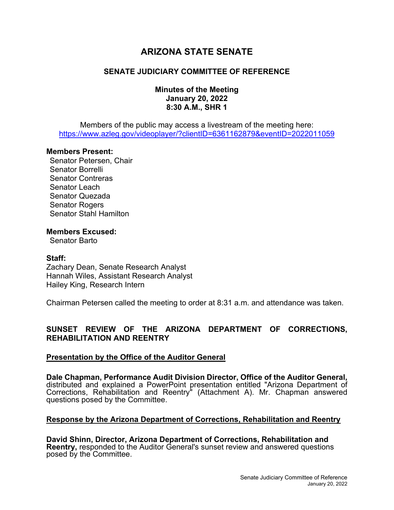# **ARIZONA STATE SENATE**

## **SENATE JUDICIARY COMMITTEE OF REFERENCE**

## **Minutes of the Meeting January 20, 2022 8:30 A.M., SHR 1**

Members of the public may access a livestream of the meeting here: https://www.azleg.gov/videoplayer/?clientID=6361162879&eventID=2022011059

#### **Members Present:**

Senator Petersen, Chair Senator Borrelli Senator Contreras Senator Leach Senator Quezada Senator Rogers Senator Stahl Hamilton

#### **Members Excused:**

Senator Barto

#### **Staff:**

Zachary Dean, Senate Research Analyst Hannah Wiles, Assistant Research Analyst Hailey King, Research Intern

Chairman Petersen called the meeting to order at 8:31 a.m. and attendance was taken.

## **SUNSET REVIEW OF THE ARIZONA DEPARTMENT OF CORRECTIONS, REHABILITATION AND REENTRY**

#### **Presentation by the Office of the Auditor General**

**Dale Chapman, Performance Audit Division Director, Office of the Auditor General,**  distributed and explained a PowerPoint presentation entitled "Arizona Department of Corrections, Rehabilitation and Reentry" (Attachment A). Mr. Chapman answered questions posed by the Committee.

## **Response by the Arizona Department of Corrections, Rehabilitation and Reentry**

**David Shinn, Director, Arizona Department of Corrections, Rehabilitation and Reentry,** responded to the Auditor General's sunset review and answered questions posed by the Committee.